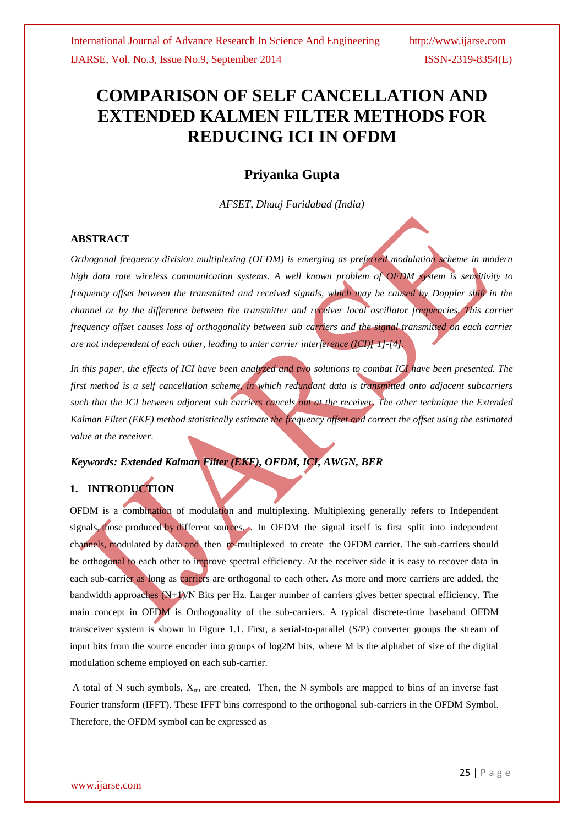# **COMPARISON OF SELF CANCELLATION AND EXTENDED KALMEN FILTER METHODS FOR REDUCING ICI IN OFDM**

# **Priyanka Gupta**

*AFSET, Dhauj Faridabad (India)*

### **ABSTRACT**

*Orthogonal frequency division multiplexing (OFDM) is emerging as preferred modulation scheme in modern high data rate wireless communication systems. A well known problem of OFDM system is sensitivity to frequency offset between the transmitted and received signals, which may be caused by Doppler shift in the channel or by the difference between the transmitter and receiver local oscillator frequencies. This carrier frequency offset causes loss of orthogonality between sub carriers and the signal transmitted on each carrier are not independent of each other, leading to inter carrier interference (ICI)[ 1]-[4].*

*In this paper, the effects of ICI have been analyzed and two solutions to combat ICI have been presented. The first method is a self cancellation scheme, in which redundant data is transmitted onto adjacent subcarriers such that the ICI between adjacent sub carriers cancels out at the receiver. The other technique the Extended Kalman Filter (EKF) method statistically estimate the frequency offset and correct the offset using the estimated value at the receiver*.

## *Keywords: Extended Kalman Filter (EKF), OFDM, ICI, AWGN, BER*

## **1. INTRODUCTION**

OFDM is a combination of modulation and multiplexing. Multiplexing generally refers to Independent signals, those produced by different sources. . In OFDM the signal itself is first split into independent channels, modulated by data and then re-multiplexed to create the OFDM carrier. The sub-carriers should be orthogonal to each other to improve spectral efficiency. At the receiver side it is easy to recover data in each sub-carrier as long as carriers are orthogonal to each other. As more and more carriers are added, the bandwidth approaches (N+1)/N Bits per Hz. Larger number of carriers gives better spectral efficiency. The main concept in OFDM is Orthogonality of the sub-carriers. A typical discrete-time baseband OFDM transceiver system is shown in Figure 1.1. First, a serial-to-parallel (S/P) converter groups the stream of input bits from the source encoder into groups of log2M bits, where M is the alphabet of size of the digital modulation scheme employed on each sub-carrier.

A total of N such symbols,  $X_m$ , are created. Then, the N symbols are mapped to bins of an inverse fast Fourier transform (IFFT). These IFFT bins correspond to the orthogonal sub-carriers in the OFDM Symbol. Therefore, the OFDM symbol can be expressed as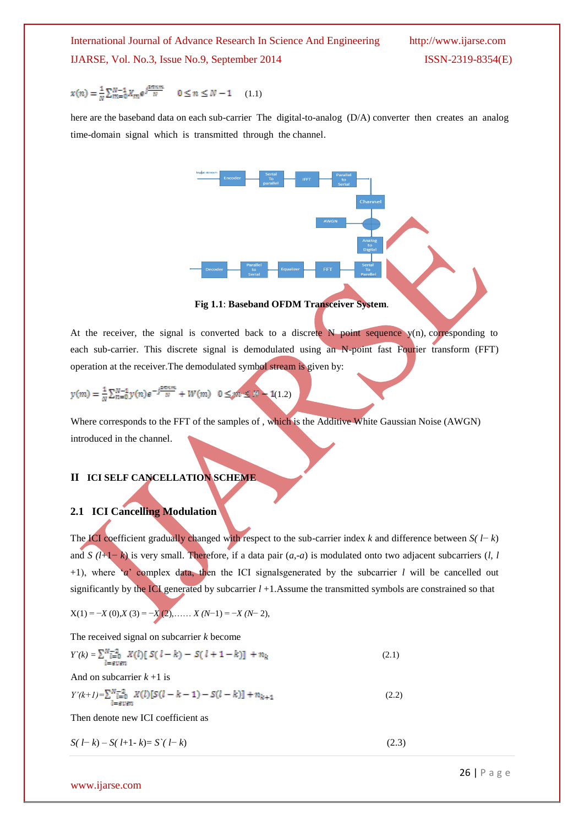$$
x(n) = \frac{1}{N} \sum_{m=0}^{N-1} X_m e^{j \frac{2\pi n m}{N}} \qquad 0 \le n \le N-1 \qquad (1.1)
$$

here are the baseband data on each sub-carrier The digital-to-analog (D/A) converter then creates an analog time-domain signal which is transmitted through the channel.



**Fig 1.1**: **Baseband OFDM Transceiver System**.

At the receiver, the signal is converted back to a discrete  $N$  point sequence  $y(n)$ , corresponding to each sub-carrier. This discrete signal is demodulated using an N-point fast Fourier transform (FFT) operation at the receiver.The demodulated symbol stream is given by:

 $(2)$ 

$$
y(m) = \frac{1}{N} \sum_{n=0}^{N-1} y(n) e^{-j\frac{2\pi n m}{N}} + W(m) \quad 0 \leq m \leq N - 1
$$

Where corresponds to the FFT of the samples of , which is the Additive White Gaussian Noise (AWGN) introduced in the channel.

## **II ICI SELF CANCELLATION SCHEME**

#### **2.1 ICI Cancelling Modulation**

The ICI coefficient gradually changed with respect to the sub-carrier index *k* and difference between *S( l*− *k*) and *S (l*+1− *k*) is very small. Therefore, if a data pair (*a*,-*a*) is modulated onto two adjacent subcarriers (*l*, *l*  +1), where "*a*" complex data, then the ICI signalsgenerated by the subcarrier *l* will be cancelled out significantly by the ICI generated by subcarrier *l* +1.Assume the transmitted symbols are constrained so that

$$
X(1) = -X(0), X(3) = -X(2), \dots, X(N-1) = -X(N-2),
$$

The received signal on subcarrier *k* become

$$
Y(k) = \sum_{l = \text{even}}^{N} \overline{L}_{l=0}^{2} X(l) [ S(l-k) - S(l+1-k) ] + n_k
$$
\n
$$
Y(k+l) = \sum_{l=0}^{N} \overline{L}_{l=0}^{2} X(l) [ S(l-k-1) - S(l-k) ] + n_{k+1}
$$
\n
$$
(2.2)
$$

Then denote new ICI coefficient as

$$
S(l-k) - S(l+1-k) = S^{(l)}(l-k)
$$
\n(2.3)

www.ijarse.com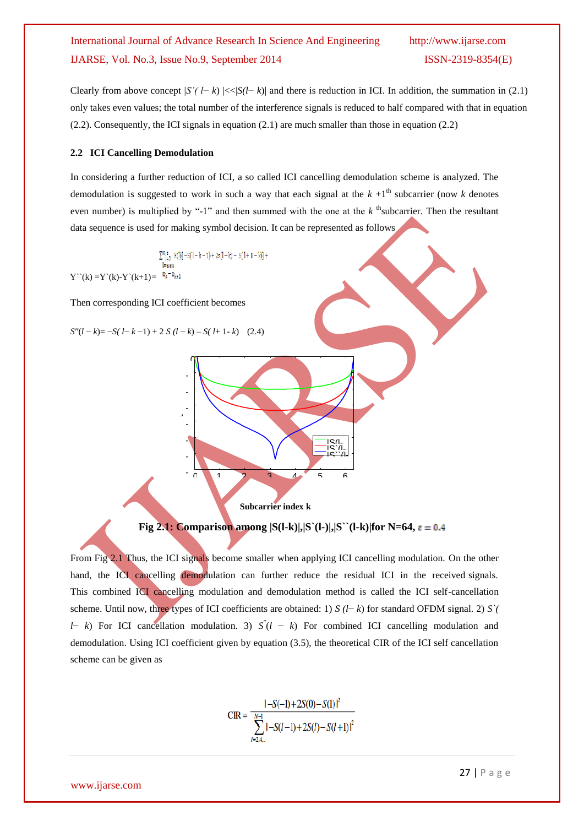Clearly from above concept  $|S'(l-k)| \ll |S(l-k)|$  and there is reduction in ICI. In addition, the summation in (2.1) only takes even values; the total number of the interference signals is reduced to half compared with that in equation  $(2.2)$ . Consequently, the ICI signals in equation  $(2.1)$  are much smaller than those in equation  $(2.2)$ 

#### **2.2 ICI Cancelling Demodulation**

In considering a further reduction of ICI, a so called ICI cancelling demodulation scheme is analyzed. The demodulation is suggested to work in such a way that each signal at the  $k + 1$ <sup>th</sup> subcarrier (now  $k$  denotes even number) is multiplied by "-1" and then summed with the one at the *k* <sup>th</sup>subcarrier. Then the resultant data sequence is used for making symbol decision. It can be represented as follows

 $\sum_{l=0}^{N-z} X(l)[-S(1-k-1)+2s(l-k)-S(1+1-k)] +$  $Y^{\sim}(k) = Y^{\sim}(k) - Y^{\sim}(k+1) = \sqrt[n]k^{\sim}n_{k+1}$ 

Then corresponding ICI coefficient becomes

 $S''(l-k) = -S(l-k-1) + 2 S(l-k) - S(l+1-k)$  (2.4)

- -

-

-

d

-

-

-

ባ



**Subcarrier index k**

#### **Fig 2.1: Comparison among**  $|S(l-k)|$ **,**  $|S'(l-1)|$ **,**  $|S'(l-k)|$  **for N=64,**  $\varepsilon = 0.4$

6

From Fig 2.1 Thus, the ICI signals become smaller when applying ICI cancelling modulation. On the other hand, the ICI cancelling demodulation can further reduce the residual ICI in the received signals. This combined ICI cancelling modulation and demodulation method is called the ICI self-cancellation scheme. Until now, three types of ICI coefficients are obtained: 1) *S (l*− *k*) for standard OFDM signal. 2) *S`( l* − *k*) For ICI cancellation modulation. 3)  $S'(l - k)$  For combined ICI cancelling modulation and demodulation. Using ICI coefficient given by equation (3.5), the theoretical CIR of the ICI self cancellation scheme can be given as

CIR = 
$$
\frac{|-S(-1)+2S(0)-S(1)|^2}{\sum_{l=2,4,...}^{N-1}|-S(l-1)+2S(l)-S(l+1)|^2}
$$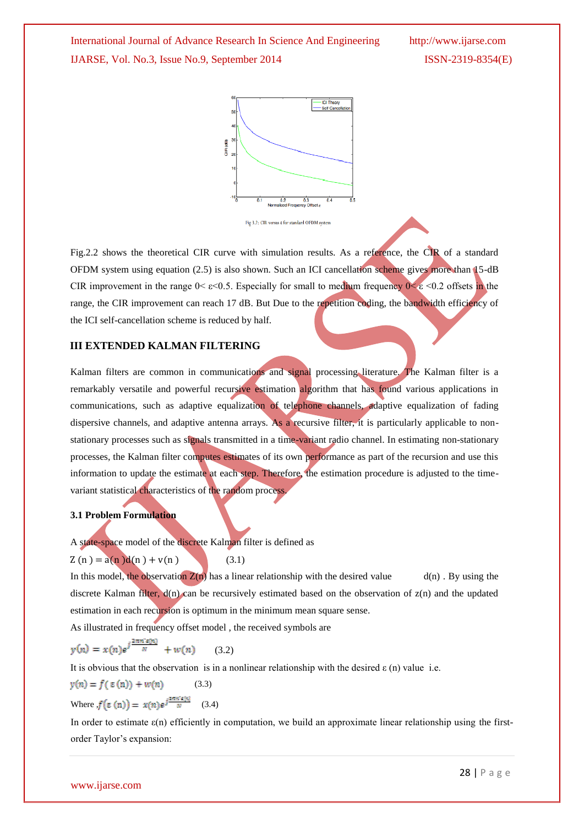



Fig.2.2 shows the theoretical CIR curve with simulation results. As a reference, the CIR of a standard OFDM system using equation (2.5) is also shown. Such an ICI cancellation scheme gives more than 15-dB CIR improvement in the range  $0 < \varepsilon < 0.5$ . Especially for small to medium frequency  $0 < \varepsilon < 0.2$  offsets in the range, the CIR improvement can reach 17 dB. But Due to the repetition coding, the bandwidth efficiency of the ICI self-cancellation scheme is reduced by half.

#### **III EXTENDED KALMAN FILTERING**

Kalman filters are common in communications and signal processing literature. The Kalman filter is a remarkably versatile and powerful recursive estimation algorithm that has found various applications in communications, such as adaptive equalization of telephone channels, adaptive equalization of fading dispersive channels, and adaptive antenna arrays. As a recursive filter, it is particularly applicable to nonstationary processes such as signals transmitted in a time-variant radio channel. In estimating non-stationary processes, the Kalman filter computes estimates of its own performance as part of the recursion and use this information to update the estimate at each step. Therefore, the estimation procedure is adjusted to the timevariant statistical characteristics of the random process.

#### **3.1 Problem Formulation**

A state-space model of the discrete Kalman filter is defined as

$$
Z(n) = a(n)d(n) + v(n)
$$
 (3.1)

In this model, the observation 
$$
Z(n)
$$
 has a linear relationship with the desired value  $d(n)$ . By using the discrete Kalman filter,  $d(n)$  can be recursively estimated based on the observation of  $z(n)$  and the updated estimation in each recursion is optimum in the minimum mean square sense.

As illustrated in frequency offset model , the received symbols are

$$
y(n) = x(n)e^{j\frac{2\pi n^2 \varepsilon(n)}{N}} + w(n) \qquad (3.2)
$$

It is obvious that the observation is in a nonlinear relationship with the desired  $\varepsilon$  (n) value i.e.

$$
y(n) = f(\varepsilon(n)) + w(n) \tag{3.3}
$$

Where, 
$$
f(\varepsilon(n)) = x(n)e^{\int \frac{\pi}{N}} \quad (3.4)
$$

In order to estimate  $\varepsilon(n)$  efficiently in computation, we build an approximate linear relationship using the firstorder Taylor"s expansion: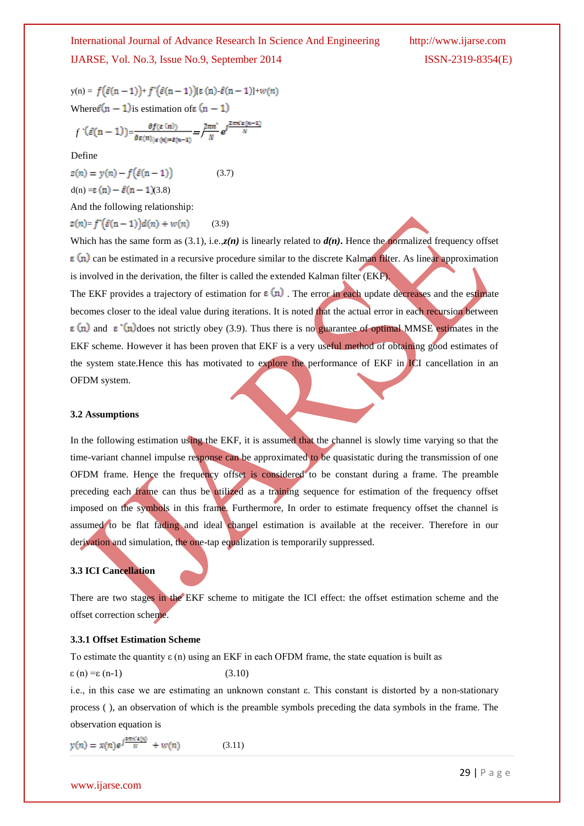$y(n) = f(\hat{\varepsilon}(n-1)) + f'(\hat{\varepsilon}(n-1))[\varepsilon(n) \cdot \hat{\varepsilon}(n-1)] + w(n)$ Where  $\hat{\epsilon}(n-1)$  is estimation of  $\epsilon(n-1)$ 

$$
f^{(n)}(\hat{\varepsilon}(n-1)) = \frac{\partial f(\varepsilon(n))}{\partial \varepsilon(n)|\varepsilon(n)\varepsilon(n-1)} = \frac{2\pi n^2}{N} e^{\int \frac{2\pi n^2 \varepsilon(n-1)}{N}}
$$

Define

 $z(n) = y(n) - f(\hat{\varepsilon}(n-1))$  (3.7)  $d(n) = \varepsilon(n) - \hat{\varepsilon}(n-1)(3.8)$ 

And the following relationship:

$$
z(n) = f^{(i)}(\hat{\varepsilon}(n-1))d(n) + w(n) \tag{3.9}
$$

Which has the same form as (3.1), i.e., $z(n)$  is linearly related to  $d(n)$ . Hence the normalized frequency offset  $\epsilon$  (n) can be estimated in a recursive procedure similar to the discrete Kalman filter. As linear approximation is involved in the derivation, the filter is called the extended Kalman filter (EKF).

The EKF provides a trajectory of estimation for  $\epsilon(n)$ . The error in each update decreases and the estimate becomes closer to the ideal value during iterations. It is noted that the actual error in each recursion between  $\epsilon$  (n) and  $\epsilon$  (n) does not strictly obey (3.9). Thus there is no guarantee of optimal MMSE estimates in the EKF scheme. However it has been proven that EKF is a very useful method of obtaining good estimates of the system state.Hence this has motivated to explore the performance of EKF in ICI cancellation in an OFDM system.

#### **3.2 Assumptions**

In the following estimation using the EKF, it is assumed that the channel is slowly time varying so that the time-variant channel impulse response can be approximated to be quasistatic during the transmission of one OFDM frame. Hence the frequency offset is considered to be constant during a frame. The preamble preceding each frame can thus be utilized as a training sequence for estimation of the frequency offset imposed on the symbols in this frame. Furthermore, In order to estimate frequency offset the channel is assumed to be flat fading and ideal channel estimation is available at the receiver. Therefore in our derivation and simulation, the one-tap equalization is temporarily suppressed.

#### **3.3 ICI Cancellation**

There are two stages in the EKF scheme to mitigate the ICI effect: the offset estimation scheme and the offset correction scheme.

#### **3.3.1 Offset Estimation Scheme**

To estimate the quantity  $\varepsilon$  (n) using an EKF in each OFDM frame, the state equation is built as

 $\varepsilon$  (n) = $\varepsilon$  (n-1) (3.10)

i.e., in this case we are estimating an unknown constant ε. This constant is distorted by a non-stationary process ( ), an observation of which is the preamble symbols preceding the data symbols in the frame. The observation equation is

$$
y(n) = x(n)e^{j\frac{\sinh 2(n)}{N}} + w(n) \tag{3.11}
$$

www.ijarse.com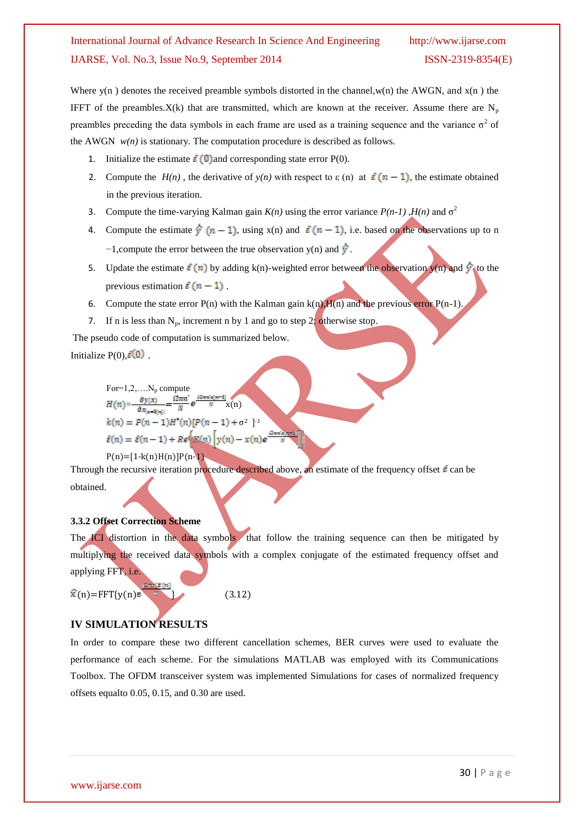Where  $y(n)$  denotes the received preamble symbols distorted in the channel,  $w(n)$  the AWGN, and  $x(n)$  the IFFT of the preambles.  $X(k)$  that are transmitted, which are known at the receiver. Assume there are  $N_p$ preambles preceding the data symbols in each frame are used as a training sequence and the variance  $\sigma^2$  of the AWGN  $w(n)$  is stationary. The computation procedure is described as follows.

- 1. Initialize the estimate  $\hat{\epsilon}(0)$  and corresponding state error P(0).
- 2. Compute the  $H(n)$ , the derivative of  $y(n)$  with respect to  $\varepsilon$  (n) at  $\hat{\varepsilon}$  (n 1), the estimate obtained in the previous iteration.
- 3. Compute the time-varying Kalman gain  $K(n)$  using the error variance  $P(n-1)$ ,  $H(n)$  and  $\sigma^2$
- 4. Compute the estimate  $\hat{y}(n-1)$ , using x(n) and  $\hat{\epsilon}(n-1)$ , i.e. based on the observations up to n  $-1$ , compute the error between the true observation y(n) and  $\hat{\mathbf{\hat{y}}}$ .
- 5. Update the estimate  $\hat{\varepsilon}(n)$  by adding k(n)-weighted error between the observation y(n) and  $\hat{y}$  to the previous estimation  $\hat{\epsilon}(n-1)$ .
- 6. Compute the state error  $P(n)$  with the Kalman gain  $k(n)$ ,  $H(n)$  and the previous error  $P(n-1)$ .
- 7. If n is less than  $N_p$ , increment n by 1 and go to step 2; otherwise stop.

The pseudo code of computation is summarized below.

Initialize  $P(0)$ ,  $\mathcal{E}(0)$ 

For=1,2,...N<sub>p</sub> compute  
\n
$$
H(n) = -\frac{\partial y(x)}{\partial x_{\vert x = \tilde{a}(n)\vert}} = \frac{i2\pi n}{N} e^{\frac{i2\pi n i \epsilon (n-1)}{N}} x(n)
$$
\n
$$
k(n) = P(n-1)H^*(n)[P(n-1) + \sigma^2]^{-1}
$$
\n
$$
\hat{\varepsilon}(n) = \hat{\varepsilon}(n-1) + Re^{\ell}K(n) \left[ y(n) - x(n) e^{\frac{i}{n}} \right]
$$

 $P(n)=[1-k(n)H(n)]P(n-1)$ 

Through the recursive iteration procedure described above, an estimate of the frequency offset  $\vec{\epsilon}$  can be obtained.

## **3.3.2 Offset Correction Scheme**

The ICI distortion in the data symbols that follow the training sequence can then be mitigated by multiplying the received data symbols with a complex conjugate of the estimated frequency offset and applying FFT, i.e.

 $\hat{\mathbf{x}}(\mathbf{n}) = \text{FFT}\{\mathbf{y}(\mathbf{n})\}$  (3.12)

## **IV SIMULATION RESULTS**

In order to compare these two different cancellation schemes, BER curves were used to evaluate the performance of each scheme. For the simulations MATLAB was employed with its Communications Toolbox. The OFDM transceiver system was implemented Simulations for cases of normalized frequency offsets equalto 0.05, 0.15, and 0.30 are used.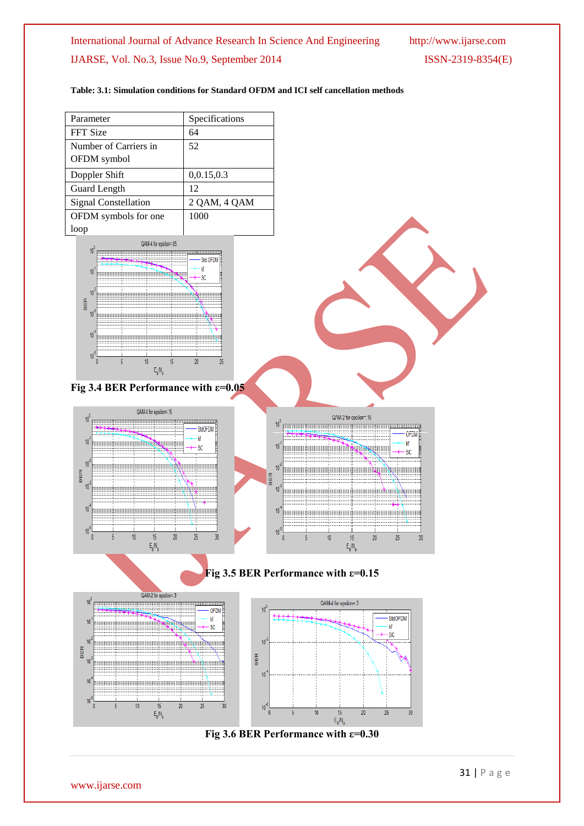#### **Table: 3.1: Simulation conditions for Standard OFDM and ICI self cancellation methods**

| Parameter             | Specifications |  |  |  |
|-----------------------|----------------|--|--|--|
| FFT Size              | 64             |  |  |  |
| Number of Carriers in | 52             |  |  |  |
| OFDM symbol           |                |  |  |  |
| Doppler Shift         | 0.0.15, 0.3    |  |  |  |
| Guard Length          | 12             |  |  |  |
| Signal Constellation  | 2 OAM, 4 OAM   |  |  |  |
| OFDM symbols for one  | 1000           |  |  |  |
| loop                  |                |  |  |  |



#### **Fig 3.4 BER Performance with ε=0.05**





## **Fig 3.5 BER Performance with ε=0.15**





#### **Fig 3.6 BER Performance with ε=0.30**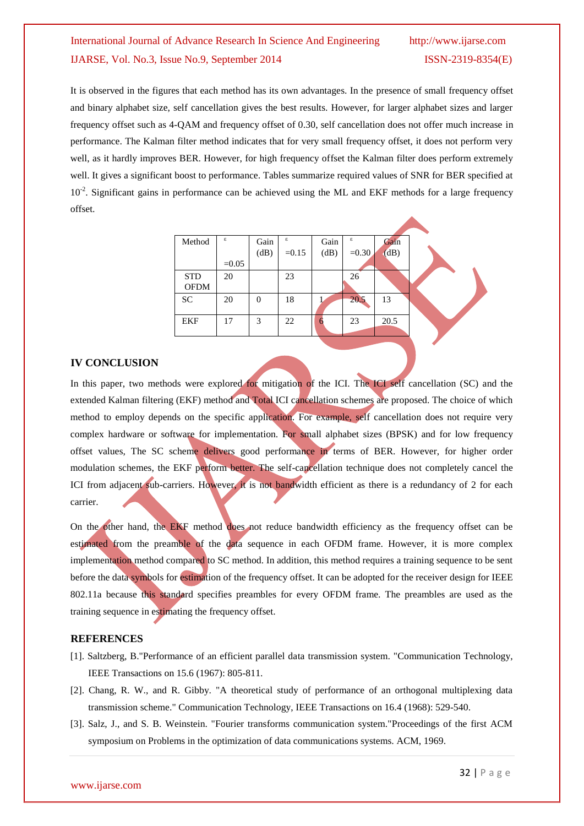It is observed in the figures that each method has its own advantages. In the presence of small frequency offset and binary alphabet size, self cancellation gives the best results. However, for larger alphabet sizes and larger frequency offset such as 4-QAM and frequency offset of 0.30, self cancellation does not offer much increase in performance. The Kalman filter method indicates that for very small frequency offset, it does not perform very well, as it hardly improves BER. However, for high frequency offset the Kalman filter does perform extremely well. It gives a significant boost to performance. Tables summarize required values of SNR for BER specified at 10<sup>-2</sup>. Significant gains in performance can be achieved using the ML and EKF methods for a large frequency offset.

| Method      | ε       | Gain           | ε       | Gain | ε       | Gain |  |
|-------------|---------|----------------|---------|------|---------|------|--|
|             |         | (dB)           | $=0.15$ | (dB) | $=0.30$ | (dB) |  |
|             | $=0.05$ |                |         |      |         |      |  |
| <b>STD</b>  | 20      |                | 23      |      | 26      |      |  |
| <b>OFDM</b> |         |                |         |      |         |      |  |
| <b>SC</b>   | 20      | $\overline{0}$ | 18      |      | 20.5    | 13   |  |
|             |         |                |         |      |         |      |  |
| <b>EKF</b>  | 17      | 3              | 22      | O    | 23      | 20.5 |  |
|             |         |                |         |      |         |      |  |

#### **IV CONCLUSION**

In this paper, two methods were explored for mitigation of the ICI. The ICI self cancellation (SC) and the extended Kalman filtering (EKF) method and Total ICI cancellation schemes are proposed. The choice of which method to employ depends on the specific application. For example, self cancellation does not require very complex hardware or software for implementation. For small alphabet sizes (BPSK) and for low frequency offset values, The SC scheme delivers good performance in terms of BER. However, for higher order modulation schemes, the EKF perform better. The self-cancellation technique does not completely cancel the ICI from adjacent sub-carriers. However, it is not bandwidth efficient as there is a redundancy of 2 for each carrier.

On the other hand, the EKF method does not reduce bandwidth efficiency as the frequency offset can be estimated from the preamble of the data sequence in each OFDM frame. However, it is more complex implementation method compared to SC method. In addition, this method requires a training sequence to be sent before the data symbols for estimation of the frequency offset. It can be adopted for the receiver design for IEEE 802.11a because this standard specifies preambles for every OFDM frame. The preambles are used as the training sequence in estimating the frequency offset.

#### **REFERENCES**

- [1]. Saltzberg, B."Performance of an efficient parallel data transmission system. "Communication Technology, IEEE Transactions on 15.6 (1967): 805-811.
- [2]. Chang, R. W., and R. Gibby. "A theoretical study of performance of an orthogonal multiplexing data transmission scheme." Communication Technology, IEEE Transactions on 16.4 (1968): 529-540.
- [3]. Salz, J., and S. B. Weinstein. "Fourier transforms communication system."Proceedings of the first ACM symposium on Problems in the optimization of data communications systems. ACM, 1969.